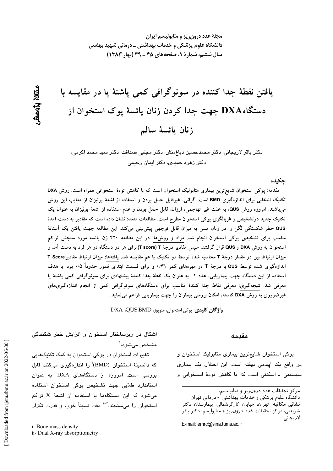مجلهٔ غدد درون ریز و متابولیسم ایران دانشگاه علوم پزشکی و خدمات بهداشتی ــ درمانی شهید بهشتی سال ششم، شمارة 1، صفحههای ۴۵ ـ ۳۹ (بهار ۱۳۸۳)

يافتن نقطهٔ جدا كننده در سونوگرافی كمی ياشنهٔ يا در مقايسه با دستگاهDXA جهت جدا کردن زنان یائسهٔ پوک استخوان از زنان يائسة سالم

دکتر باقر لاریجانی، دکتر محمدحسین دباغمنش، دکتر مجتبی صداقت، دکتر سید محمد اکرمی، دکتر زهره حمی*دی، د*کتر ایمان رحی*می* 

جكىدە

مقدمه: پوکی استخوان شایع ترین بیماری متابولیک استخوان است که با کاهش تودهٔ استخوانی همراه است. روش DXA تکنیک انتخابی برای اندازهگیری BMD است. گرانی، غیرقابل حمل بودن و استفاده از اشعهٔ یونیزان از معایب این روش میباشند. امروزه روش QUS، به علت غیر تهاجمی، ارزان، قابل حمل بودن و عدم استفاده از اشعهٔ یونیزان به عنوان یک تکنیک جدید درتشخیص و غربالگری پوکی استخوان مطرح است. مطالعات متعدد نشان داده است که مقادیر به دست آمدهٔ QUS خطر شکستگی لگن را در زنان مسن به میزان قابل توجهی پیش بینی میکند. این مطالعه جهت یافتن یک آستانهٔ مناسب برای تشخیص پوکی استخوان انجام شد. مواد و روشها: در این مطالعه ۴۲۰ زن یائسه مورد سنجش تراکم استخوان به روش DXA و QUS قرار گرفتند. سپس مقادیر درجهٔ T (T score) برای هر دو دستگاه در هر فرد به دست آمد و میزان ارتباط بین دو مقدار درجهٔ T محاسبه شده توسط دو تکنیک با هم مقایسه شد. یافتهها: میزان ارتباط مقادیرT Score اندازهگیری شده توسط QUS با درجهٔ T در مهرههای کمر ۰/۳۱ و برای قسمت ابتدای فمور حدوداً ۰/۵ بود. با هدف استفاده از این دستگاه جهت بیماریابی، عدد ۱– به عنوان یک نقطهٔ جدا کنندهٔ پیشنهادی برای سونوگرافی کمی پاشنهٔ پا معرفی شد. نتیجهگیری: معرفی نقاط جدا کنندهٔ مناسب برای دستگاههای سونوگرافی کمی از انجام اندازهگیریهای غیرضروری به روش DXA کاسته، امکان بررسی بیماران را جهت بیماریابی فراهم می نماید.

واژگان کلیدی: یوکی استخوان، منویوز، DXA .QUS.BMD

مقدمه

پوکی استخوان شایعترین بیماری متابولیک استخوان و در واقع یک اپیدمی نهفته است. این اختلال یک بیماری سیستمی ـ اسکلتی است که با کاهش تودهٔ استخوانی و

دانشگاه علوم پزشکی و خدمات بهداشتی ٰ - درمانی تهران **نشانی مکاتبه**، تهران، خیابان کارگرشمالی، بیمارستان دکتر شریعتی، مرکز تحقیقات غدد درون ریز و متابولیسم، دکتر باقر لاريجانى

E-mail: emrc@sina.tums.ac.ir

اشکال در ریزساختار استخوان و افزایش خطر شکنندگی مشخص مي شود.'

تغییرات استخوان در پوکی استخوان به کمک تکنیکهایی كه دانسيتهٔ استخوان (BMD) را اندازهگيری میكنند قابل بررسی است. امروزه از دستگاههای DXA" به عنوان استاندارد طلایی جهت تشخیص پوکی استخوان استفاده می شود که این دستگاهها با استفاده از اشعهٔ X تراکم استخوان را می سنجند.<sup>۲-۲</sup> دقت نسبتاً خوب و قدرت تکرار

ىقان بزومش

مركز تحقيقات غدد درون ريز و متابوليسم،

i- Bone mass density

ii- Dual X-ray absorptiometry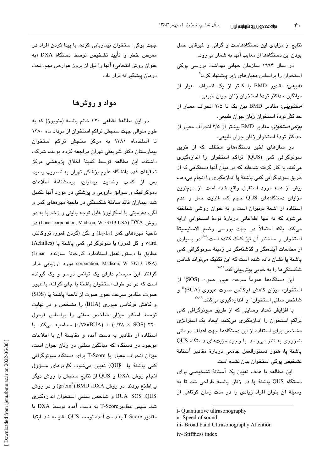نتایج از مزایای این دستگاههاست و گرانی و غیرقابل حمل بودن این دستگاهها از معایب آنها به شمار میرود.

در سال ۱۹۹۴ سازمان جهانی بهداشت بررسی پوکی استخوان را براساس معیارها*ی* زیر پیشنهاد کرد:<sup>۵</sup> *طبیعی*: مقادیر BMD با کمتر از یک انحراف معیار از ميانگين حداكثر تودهٔ استخوان زنان جوان طبيعي. /ستئوپنی: مقادیر BMD بین یک تا ۲/۵ انحراف معیار از حداكثر تودهٔ استخوان زنان جوان طبیعی.

بوكي استخوان: مقادير BMD بيشتر از ٢/٥ انحراف معيار از حداكثر تودهٔ استخوان زنان جوان طبیعی.

در سالهای اخیر دستگاههای مختلف که از طریق سونوگرافی کمی (QUS)<sup>:</sup> تراکم استخوان را اندازهگیری میکنند به کار گرفته شدهاند که در میان آنها دستگاهی که از طریق سونوگرافی کمی پاشنهٔ پا اندازهگیری را انجام میدهد، بیش از همه مورد استقبال واقع شده است. از مهمترین مزایای دستگاههای QUS حجم کم، قابلیت حمل و عدم استفاده از اشعهٔ یونیزان است و به عنوان روشی شناخته می شود که نه تنها اطلاعاتی دربارهٔ تودهٔ استخوانی ارابه می،کند، بلکه احتمالاً در جهت بررسی وضع الاستیسیتهٔ استخوان و ساختار آن نیز کمک کننده است. اگر بسیاری از مطالعات آیندەنگر و گذشتەنگر در زمینهٔ سونوگرافی کمی پاشنهٔ پا نشان داده شده است که این تکنیک میتواند شانس شکستگیها را به خوبی پیشبینی کند.<sup>۱۶</sup>۰

این دستگاهها عموماً سرعت عبور صوت (SOS)<sup>ة</sup> از استخوان، میزان کاهش فرکانس صوت عبوری (BUA)" و شاخص سفتی استخوان" را اندازهگیری میکنند.<sup>۱۷٬۱۸</sup>

با افزایش تعداد وسایلی که از طریق سونوگرافی کمی تراکم استخوان را اندازهگیری میکنند، ایجاد یک استراتژی مشخص برای استفاده از این دستگاهها جهت اهداف درمانی ضروری به نظر میرسد. با وجود مزیتهای دستگاه QUS پاشنهٔ پا، هنوز دستورالعمل جامعی دربارهٔ مقادیر آستانهٔ تشخیص پوکی استخوان بیان نشده است.

این مطالعه با هدف تعیین یک آستانهٔ تشخیصی برای دستگاه QUS پاشنهٔ پا در زنان یائسه طراحی شد تا به وسیلهٔ آن بتوان افراد زیادی را در مدت زمان کوتاهی از

جهت پوکی استخوان بیماریابی کرده، با پیدا کردن افراد در معرض خطر و تأیید تشخیص توسط دستگاه DXA (به عنوان روش انتخابی) آنها را قبل از بروز عوارض مهم، تحت درمان پیشگیرانه قرار داد.

# مواد و روشها

در این مطالعهٔ مقطعی ۴۲۰ خانم یائسه (منوپوز) که به طور متوالی جهت سنجش تراکم استخوان از مرداد ماه ۱۳۸۰ تا اسفندماه ۱۳۸۱ به مرکز سنجش تراکم استخوان بیمارستان دکتر شریعتی تهران مراجعه کرده بودند، شرکت داشتند. این مطالعه توسط کمیتهٔ اخلاق پژوهشی مرکز تحقیقات غدد دانشگاه علوم پزشکی تهران به تصویب رسید. پس از کسب رضایت بیماران، پرسشنامهٔ اطلاعات دموگرافیک و سوابق دارویی و پزشکی در مورد آنها تکمیل شد. بیماران فاقد سابقهٔ شکستگی در ناحیهٔ مهرههای کمر و لگن، دفرميتي يا اسكوليوز قابل توجه باليني و زخم پا به دو روش (Lunar corporation, Madison, W 53713 USA) DXA در ناحیهٔ مهرههای کمر (L2-L4) و لگن (گردن فمور، تروکانتر، ward و کل فمور) يا سونوگرافي کمي پاشنهٔ يا (Achilles) مطابق با دستورالعمل استاندارد كارخانهٔ سازنده Lunar) oorporation, Madison, W 53713 USA) مورد ارزيابي قرار گرفتند. این سیستم دارای یک ترانس دوسر و یک گیرنده است که در دو طرف استخوان پاشنهٔ پا جای گرفته، با عبور صوت، مقادير سرعت عبور صوت از ناحيهٔ پاشنهٔ پا (SOS) و کاهش فرکانس عبوری (BUA) را مشخص و در نهایت توسط اسکنر میزان شاخص سفتی را براساس فرمول ۴۲۰-(۰/۲۸ × ۰/۲۸) + (۰/۷۶×۱۷۶) محاسبه میکند. با استفاده از مقادیر به دست آمده و مقایسهٔ آن با اطلاعات موجود در دستگاه که میانگین سفتی در زنان جوان است، میزان انحراف معیار با T-Score برای دستگاه سونوگرافی كمى پاشنهٔ پا ©QU) تعيين مىشود. كاربرهاى مسؤول انجام روش DXA و QUS از نتايج سنجش با روش ديگر بی|طلاع بودند. در روش BMD ،DXA ('gr/cm $^2$ ) و در روش BUA ،SOS ،QUS و شاخص سفتى استخوان اندازهگيرى شد. سيس مقادير T-Score به دست آمده توسط DXA با مقادىر T-Score به دست آمده توسط QUS مقاسيه شد. ابتدا

i- Quantitative ultrasonography

ii-Speed of sound

iii- Broad band Ultrasonography Attention

iv-Stiffness index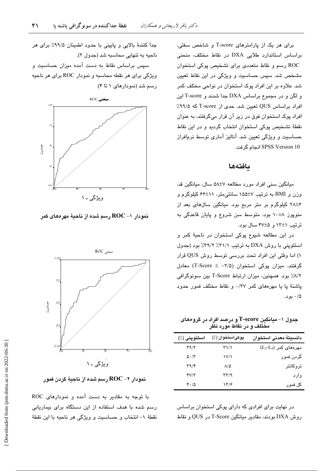برای هر یک از پارامترهای T-score و شاخص سفتی، براساس استاندارد طلایی DXA در نقاط مختلف، منحنی ROC رسم و نقاط متعددی برای تشخیص پوکی استخوان مشخص شد. سپس حساسیت و ویژگی در این نقاط تعیین شد. علاوه بر این افراد پوک استخوان در نواحی مختلف کمر و لگن و در مجموع براساس DXA جدا شدند و T-score این افراد براساس QUS تعیین شد. حدی از T-score که ۹۹/۵٪ افراد پوک استخوان فوق در زیر آن قرار میگرفتند، به عنوان نقطهٔ تشخیص پوکی استخوان انتخاب گردید و در این نقاط حساسیت و ویژگی تعیین شد. آنالیز آماری توسط نرمافراز SPSS Version 10 انجام گرفت.

## بافتهها

میانگین سنی افراد مورد مطالعه ۵۸±۵ سال، میانگین قد، وزن و BMI به ترتیب ۷±۱۵۵ سانتی متر، ۱۱±۶۶ کیلوگرم و ۰/۲۸±۶ کیلوگرم بر متر مربع بود. میانگین سالهای بعد از منوپوز ۸±۱۰ بود. متوسط سن شروع و پایان قاعدگی به ترتیب ١٢±١٢ و ۴۷±۴ سال بود.

در این مطالعه شیوع پوکی استخوان در ناحیهٔ کمر و استئوپنی با روش DXA به ترتیب ۳۱/۱٪ ۳۹/۲٪ بود (جدول ١) اما وقتى اين افراد تحت بررسى توسط روش QUS قرار گرفتند، میزان یوکی استخوان (۲/۵− ≥ T-Score) معادل ٨/٢٪ بود. همچنین، میزان ارتباط T-Score بین سونوگرافی پاشنهٔ پا یا مهرههای کمر ۰/۳۷ و نقاط مختلف فمور حدود ۰/۵ بود.

جدول ۱– میانگین T-score و درصد افراد در گروههای مختلف و در نقاط مورد نظر

| استئوپنی (٪)                      | پوکیاستخوان (٪)      | دانسيتة معدنى استخوان   |
|-----------------------------------|----------------------|-------------------------|
| $\tau \gamma / \tau$              | ۳۱/۱                 | $(L_2-L_4)$ مهرههای کمر |
| $\Delta \cdot / \tau$             | $V/\lambda$          | گردن فمور               |
| $\mathbf{r}\mathbf{a}/\mathbf{r}$ | $\Lambda/\Delta$     | تروكانتر                |
| YV/Y                              | $\tau\tau/9$         | وارد                    |
| 4.10                              | $\frac{1}{\epsilon}$ | کل فمور                 |

در نهایت برای افرادی که دارای پوکی استخوان براساس روش DXA بودند، مقادیر میانگین T-Score در QUS و نقاط

جدا كنندهٔ بالایی و پایینی با حدود اطمینان ۹۹/۵٪ برای هر ناحيه به تنهايي محاسبه شد (جدول ٢).

سیس براساس نقاط به دست آمده میزان حساسیت و ويژگي براي هر نقطه محاسبه و نمودار ROC براي هر ناحيه رسم شد (نمودارهای ۱ تا ۴).



نمودار 1– ROC رسم شده از ناحيهٔ مهرههای کمر



نمودار ۲– ROC رسم شده از ناحيهٔ گردن فمور

با توجه به مقادیر به دست آمده و نمودارهای ROC رسم شده یا هدف استفاده از این دستگاه برای بیماریایی نقطهٔ ١- انتخاب و حساسیت و ویژگی هر ناحیه با این نقطهٔ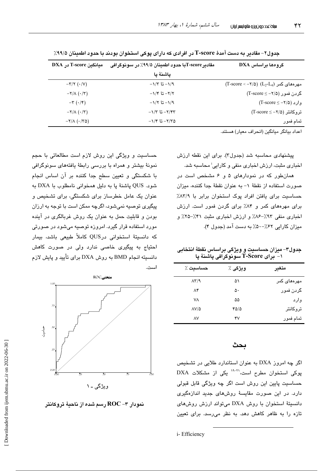| گروهها براساس DXA                                                                                       | مقادير T-score با حدود اطمينان ۹۹/۵٪ در سونوگرافي | میانگین T-score در DXA                 |
|---------------------------------------------------------------------------------------------------------|---------------------------------------------------|----------------------------------------|
|                                                                                                         | ياشنة يا                                          |                                        |
| $(T\text{-score} < -\text{\texttt{Y}}/\text{\texttt{0}})$ (L <sub>2</sub> -L <sub>4</sub> ) مهرههای کمر | $-\frac{1}{2}$ 1/3 تا ۱/۳                         | $-\tau/\tau$ ( $\cdot/\nu$ )           |
| گردن فمور (۲/۵− = T-score)                                                                              | $-\frac{1}{2}$ تا ۱/۴– تا                         | $-\frac{1}{\Lambda}(\cdot/\tau)$       |
| $(T\text{-score} \leq -7/\Delta)$ وارد (                                                                | $-\frac{1}{2}$ تا ۱/۲ ت                           | $-\tau$ $(\cdot/\tau)$                 |
| $(T\text{-score} \leq -\text{\sf Y}/\text{\sf Q})$ تروكانتر (2                                          | $-1/T$ تا ۱/۳۳                                    | $-\Upsilon/\Lambda$ $(\cdot/\Upsilon)$ |
| تمام فمور                                                                                               | $-1/5$ تا ۱/۴ $-7/7$ ۵                            | $-Y/\Lambda$ ( $-Y\Delta$ )            |

جدول۲– مقادىر به دست آمدهٔ T-score در افرادى كه داراى پوكى استخوان بودند با حدود اطمينان ۹۹/۵٪

اعداد بيانگر ميانگين (انحراف معيار) هستند.

پیشنهادی محاسبه شد (جدول۳). برای این نقطه ارزش اخباری مثبت، ارزش اخباری منفی و کارایی<sup>:</sup> محاسبه شد.

همانطور که در نمودارهای ۵ و ۶ مشخص است در صورت استفاده از نقطهٔ ١- به عنوان نقطهٔ جدا کننده، میزان حساسیت برای یافتن افراد یوک استخوان برابر با ۸۳/۹٪ برای مهرههای کمر و ۸۴٪ برای گردن فمور است. ارزش اخباری منفی ۹۳٪-۸۶٪ و ارزش اخباری مثبت ۴۱٪-۲۵٪ و میزان کارایی ۶۲٪-۵۰٪ به دست آمد (جدول ۴).

جدول۳- میزان حساسیت و ویژگی براساس نقطهٔ انتخابی ۱- ٌ بِرَاى T-Score سَونوگرافى پاشنهٔ پا

| حساسىت ٪                    | ويژگى ٪ | متغير       |
|-----------------------------|---------|-------------|
| $\Lambda \Upsilon / \gamma$ | ۵۱      | مهرههای کمر |
| ۸۴                          | ۵۰      | گردن فمور   |
| ۷٨                          | ۵۵      | وارد        |
| $\Delta V/\Delta$           | 4010    | تروكانتر    |
| ٨V                          | ۴۷      | تمام فمور   |

## ىحث

اگر چه امروز DXA به عنوان استاندارد طلایی در تشخیص پوکی استخوان مطرح است،<sup>۳۱-۲۱</sup> یکی از مشکلات DXA حساسیت پایین این روش است اگر چه ویژگی قابل قبولی دارد. در این صورت مقایسهٔ روشهای جدید اندازهگیری دانسیتهٔ استخوان با روش DXA میتواند ارزش روش های تازه را به ظاهر کاهش دهد. به نظر می رسد. برای تعبین

حساسیت و ویژگی این روش لازم است مطالعاتی با حجم نمونهٔ بیشتر و همراه با بررسی رابطهٔ یافتههای سونوگرافی با شکستگی و تعیین سطح جدا کننده بر آن اساس انجام شود. QUS پاشنهٔ پا به دلیل همخوانی نامطلوب با DXA به عنوان یک عامل خطرساز برای شکستگی، برای تشخیص و پیگیری توصیه نمیشود، اگرچه ممکن است با توجه به ارزان بودن و قابلیت حمل به عنوان یک روش غربالگری در آینده مورد استفاده قرار گیرد. امروزه توصیه میشود در صورتی که دانسیتهٔ استخوانی درQUS کاملاً طبیعی باشد، بیمار احتیاج به پیگیری خاصی ندارد ولی در صورت کاهش دانسیته انجام BMD به روش DXA برای تأیید و پایش لازم استدى



نمودار ۳– ROC رسم شده از ناحیهٔ تروکانتر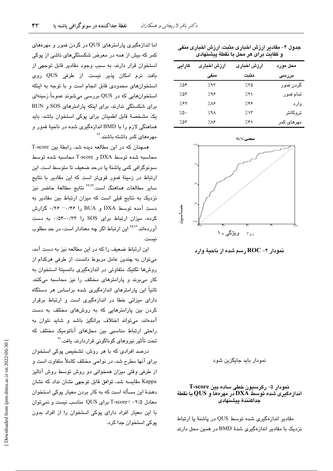| و كفايت براى هر محل با نقطهٔ پيشنهادى |                  |                 |                    |  |  |
|---------------------------------------|------------------|-----------------|--------------------|--|--|
| كارايى                                | ارزش اخبارى      | ارزش اخبارى     | محل مورد           |  |  |
|                                       | منفى             | مثبت            | بررسی              |  |  |
| ۷۵۴                                   | ٬۹۳              | 7.70            | گردن فمور          |  |  |
| 7.07                                  | ۶۸۶.             | 7.51            | تمام فمور          |  |  |
| ۶۲٪                                   | ۸۶.              | ۶۳۶.            | وارد               |  |  |
| $7.0 -$                               | 7.9 <sub>A</sub> | 7.15            | تروكانتر           |  |  |
| 7.05                                  | ۱٬۸۶             | $\mathcal{H}$ ۱ | مهرها <i>ی</i> کمر |  |  |
|                                       |                  |                 |                    |  |  |

جدول ۴– مقادیر ارزش اخباری مثبت، ارزش اخباری منفی



نمودار بابد جایگزین شود

### نمودار ۵– رگرسیون خطی ساده بین T-score انداز دکیری شده توسط DXA در مهرهها و QUS با نقطهٔ جداكنندة پيشنهادى

مقادیر اندازهگیری شده توسط QUS در یاشنهٔ یا ارتباط نزدیک با مقادیر اندازهگیری شدهٔ BMD در همین محل دارند

اما اندازهگیری پارامترهای QUS در گردن فمور و مهرههای کمر که بیش از همه در معرض شکستگیهای ناشی از پوکی استخوان قرار دارند، به سبب وجود مقادیر قابل توجهی از بافت نرم امكان پذير نيست. از طرفى QUS روى استخوانهای محدودی قابل انجام است و با توجه به اینکه استخوانهایی که در QUS بررسی میشوند عموماً زمینهای برای شکستگی ندارند، برای اینکه پارامترهای SOS و BUN یک مشخصهٔ قابل اطمینان برای پوکی استخوان باشد، باید هماهنگی لازم را با BMD اندازهگیری شده در ناحیهٔ فمور و مهرهها*ی* کمر داشته باشند.<sup>۲۲</sup>

همچنان که در این مطالعه دیده شد، رابطهٔ بین T-score محاسبه شده توسط DXA و T-score محاسبه شده توسط سونوگرافی کمی پاشنهٔ پا درحد ضعیف تا متوسط است. این ارتباط در زمینهٔ فمور قویتر است که این مقادیر با نتایج سایر مطالعات هماهنگ است.<sup>۲۴٬۲۲</sup> نتایج مطالعهٔ حاضر نیز نزدیک به نتایج قبلی است که میزان ارتباط بین مقادیر به دست آمده توسط DXA و BUA را ۰/۴۶– ۰/۴۶ گزارش کرده، میزان ارتباط برای SOS را ۰/۵۴-۰/۳۳ به دست آوردهاند.<sup>۲۵،۲۶</sup> این ارتباط اگر چه معنادار است، در حد مطلوب نست.

این ارتباط ضعیف را که در این مطالعه نیز به دست آمد، میتوان به چندین عامل مربوط دانست. از طرفی هرکدام از روشها تکنیک متفاوتی در اندازهگیری دانسیتهٔ استخوان به کار می برند و پارامترهای مختلف را نیز محاسبه میکنند. ثانیاً این پارامترهای اندازهگیری شده براساس هر دستگاه دارای میزانی خطا در اندازهگیری است و ارتباط برقرار کردن بین پارامترهایی که به روشهای مختلف به دست آمدهاند، میتواند اختلاف برانگیز باشد و شاید نتوان به راحتی ارتباط مناسبی بین محلهای آناتومیک مختلف که تحت تأثير نيروهاي گوناگوني قراردارند، يافت.<sup>۲۷</sup>

درصد افرادی که با هر روش، تشخیص پوکی استخوان برای آنها مطرح شد، در نواحی مختلف کاملاً متفاوت است و از طرفی وقتی میزان همخوانی دو روش توسط روش آنالیز Kappa مقایسه شد، توافق قابل توجهی نشان نداد که نشان دهندهٔ این مسأله است که به کار بردن معیار پوکی استخوان معادل ۲/۵– >T-score برای QUS مناسب نیست و نمیتوان با این معیار افراد دارای پوکی استخوان را از افراد بدون پوکی استخوان جدا کرد.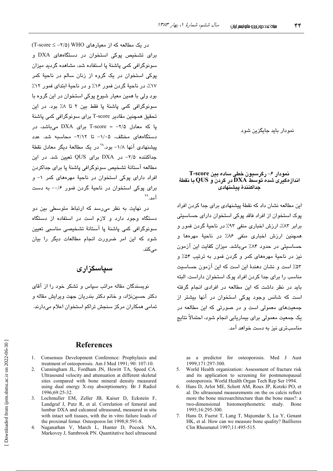نمو دار باید جایگزین شو د

#### نمودار ۶– رگرسیون خطی ساده بین T-score اندازهگیری شده توسط  $\mathbf{D}\mathbf{X}\mathbf{A}$  در گردن و  $\mathbf{Q}\mathbf{U}\mathbf{S}$  با نقطهٔ جداكنندة ينشنهادى

این مطالعه نشان داد که نقطهٔ پیشنهاد*ی* برای جدا کردن افراد پوک استخوان از افراد فاقد پوکی استخوان دارای حساسیتی برابر ٨٣٪، ارزش اخباري منفي ٩٣٪ در ناحية گردن فمور و همچنین ارزش اخباری منفی ۸۶٪ در ناحیهٔ مهردها و حساسیتی در حدود ۸۴٪ میباشد. میزان کفایت این آزمون نیز در ناحیهٔ مهرههای کمر و گردن فمور به ترتیب ۵۴٪ و ۵۳٪ است و نشان دهندهٔ این است که این آزمون حساسیت مناسب را برای جدا کردن افراد یوک استخوان داراست. البته باید در نظر داشت که این مطالعه در افرادی انجام گرفته است که شانس وجود یوکی استخوان در آنها بیشتر از جمعیتهای معمولی است و در صورتی که این مطالعه در یک جمعیت معمولی برای بیماریابی انجام شود، احتمالاً نتایج مناسبتری نیز به دست خواهد آمد.

as a predictor for osteoporosis. Med J Aust 1999;171:297-300.

- World Health organization: Assessment of fracture risk  $5<sub>1</sub>$ and its application to screening for postmenopausal osteoporosis. World Health Organ Tech Rep Ser 1994.
- Hans D, Arlot ME, Schott AM, Roux JP, Kotzki PO, et 6 al. Do ultrasound measurements on the os calcis reflect more the bone microarchitecture than the bone mass?: a two-dimensional histomorphometric study. Bone 1995:16:295-300.
- $7<sup>7</sup>$ Hans D, Fuerst T, Lang T, Majumdar S, Lu Y, Genant HK, et al. How can we measure bone quality? Baillieres Clin Rheumatol 1997;11:495-515.

در یک مطالعه که از معیارهای WHO (۲/۵- ≥ T-score) برای تشخیص پوکی استخوان در دستگاههای DXA و سونوگرافی کمی یاشنهٔ یا استفاده شد، مشاهده گردید میزان پوکی استخوان در یک گروه از زنان سالم در ناحیهٔ کمر ١٧٪، در ناحيهٔ گردن فمور ١۶٪ و در ناحيهٔ ابتداي فمور ١٢٪ بود ولي با همين معيار شيوع پوکي استخوان در اين گروه با سونوگرافی کمی پاشنهٔ پا فقط بین ۲ تا ۸٪ بود. در این تحقیق همچنین مقادیر T-score برای سونوگرافی کمی پاشنهٔ یا که معادل ۲/۵– = T-score برای DXA می باشد، در دستگاههای مختلف، ۱/۰۵– تا ۲/۱۲– محاسبه شد. عدد پیشنهادی آنها ۱/۸- بود.<sup>۲۸</sup> در یک مطالعهٔ دیگر معادل نقطهٔ جداکننده ۲/۵- در DXA برای QUS تعیین شد. در این مطالعه آستانهٔ تشخیص سونوگرافی پاشنهٔ پا برای جداکردن افراد دارای پوکی استخوان در ناحیهٔ مهرههای کمر ۱- و  $\cdot$ برای پوکی استخوان در ناحیهٔ گردن فمور ۱/۶– به دست آمد. \*\*

در نهایت به نظر می رسد که ارتباط متوسطی بین دو دستگاه وجود دارد و لازم است در استفاده از دستگاه سونوگرافی کمی پاشنهٔ پا آستانهٔ تشخیصی مناسبی تعیین شود که این امر ضرورت انجام مطالعات دیگر را بیان مے کند.

## سياسگزارى

نویسندگان مقاله مراتب سیاس و تشکر خود را از آقای دکتر حسيننژاد، و خانم دکتر بندريان جهت ويرايش مقاله و تمامی همکاران مرکز سنجش تراکم استخوان اعلام میدارند.

## **References**

- 1. Consensus Development Conference: Prophylaxis and treatment of osteoporosis. Am J Med 1991; 90: 107-10.
- 2. Cunningham JL, Fordham JN, Hewitt TA, Speed CA. Ultrasound velocity and attenuation at different skeletal sites compared with bone mineral density measured using dual energy X-ray absorptiometry. Br J Radiol 1996;69:25-32.
- 3. Lochmuller EM, Zeller JB, Kaiser D, Eckstein F Landgraf J, Putz R, et al. Correlation of femoral and lumbar DXA and calcaneal ultrasound, measured in situ with intact soft tissues, with the in vitro failure loads of the proximal femur. Osteoporos Int 1998;8:591-8.
- 4. Naganathan V, March L, Hunter D, Pocock NA, Markovey J, Sambrook PN. Quantitative heel ultrasound